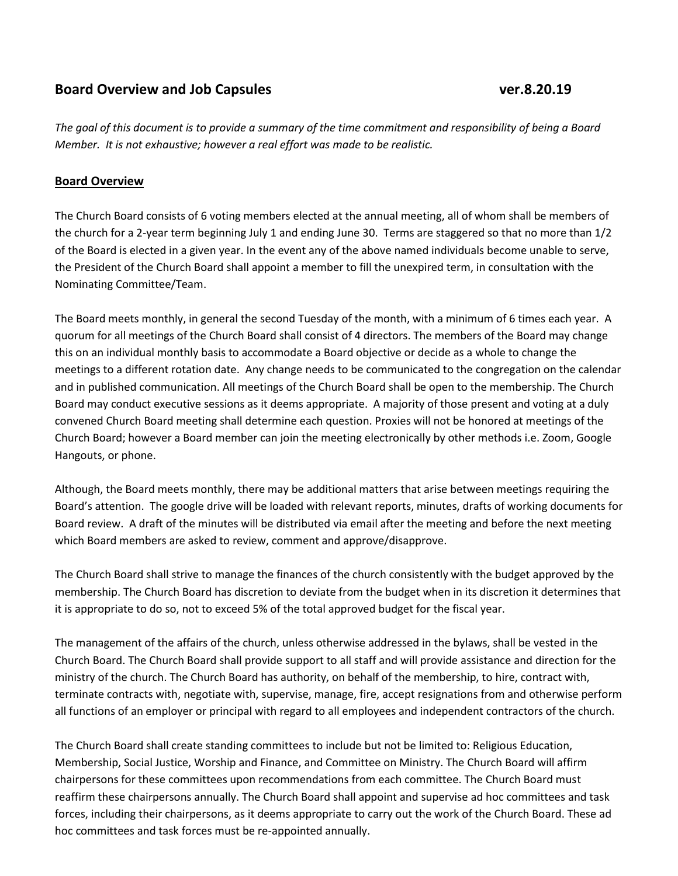## **Board Overview and Job Capsules ver.8.20.19**

*The goal of this document is to provide a summary of the time commitment and responsibility of being a Board Member. It is not exhaustive; however a real effort was made to be realistic.*

## **Board Overview**

The Church Board consists of 6 voting members elected at the annual meeting, all of whom shall be members of the church for a 2-year term beginning July 1 and ending June 30. Terms are staggered so that no more than 1/2 of the Board is elected in a given year. In the event any of the above named individuals become unable to serve, the President of the Church Board shall appoint a member to fill the unexpired term, in consultation with the Nominating Committee/Team.

The Board meets monthly, in general the second Tuesday of the month, with a minimum of 6 times each year. A quorum for all meetings of the Church Board shall consist of 4 directors. The members of the Board may change this on an individual monthly basis to accommodate a Board objective or decide as a whole to change the meetings to a different rotation date. Any change needs to be communicated to the congregation on the calendar and in published communication. All meetings of the Church Board shall be open to the membership. The Church Board may conduct executive sessions as it deems appropriate. A majority of those present and voting at a duly convened Church Board meeting shall determine each question. Proxies will not be honored at meetings of the Church Board; however a Board member can join the meeting electronically by other methods i.e. Zoom, Google Hangouts, or phone.

Although, the Board meets monthly, there may be additional matters that arise between meetings requiring the Board's attention. The google drive will be loaded with relevant reports, minutes, drafts of working documents for Board review. A draft of the minutes will be distributed via email after the meeting and before the next meeting which Board members are asked to review, comment and approve/disapprove.

The Church Board shall strive to manage the finances of the church consistently with the budget approved by the membership. The Church Board has discretion to deviate from the budget when in its discretion it determines that it is appropriate to do so, not to exceed 5% of the total approved budget for the fiscal year.

The management of the affairs of the church, unless otherwise addressed in the bylaws, shall be vested in the Church Board. The Church Board shall provide support to all staff and will provide assistance and direction for the ministry of the church. The Church Board has authority, on behalf of the membership, to hire, contract with, terminate contracts with, negotiate with, supervise, manage, fire, accept resignations from and otherwise perform all functions of an employer or principal with regard to all employees and independent contractors of the church.

The Church Board shall create standing committees to include but not be limited to: Religious Education, Membership, Social Justice, Worship and Finance, and Committee on Ministry. The Church Board will affirm chairpersons for these committees upon recommendations from each committee. The Church Board must reaffirm these chairpersons annually. The Church Board shall appoint and supervise ad hoc committees and task forces, including their chairpersons, as it deems appropriate to carry out the work of the Church Board. These ad hoc committees and task forces must be re-appointed annually.